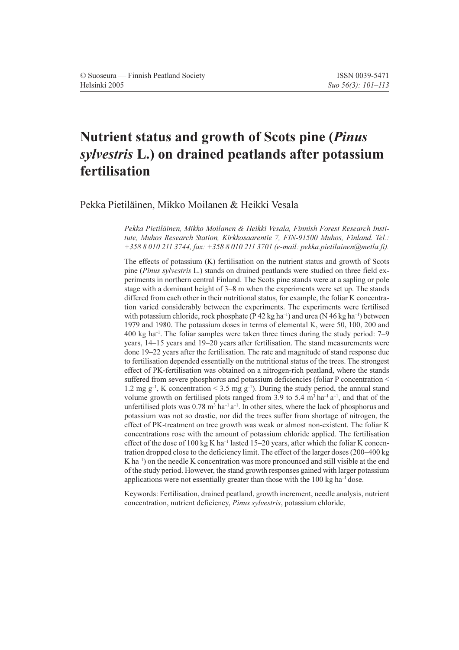# Nutrient status and growth of Scots pine (*Pinus*) sylvestris L.) on drained peatlands after potassium fertilisation

Pekka Pietiläinen, Mikko Moilanen & Heikki Vesala

Pekka Pietiläinen, Mikko Moilanen & Heikki Vesala, Finnish Forest Research Institute, Muhos Research Station, Kirkkosaarentie 7, FIN-91500 Muhos, Finland. Tel.:  $+35880102113744$ , fax:  $+35880102113701$  (e-mail: pekka.pietilainen@metla.fi).

The effects of potassium (K) fertilisation on the nutrient status and growth of Scots pine *(Pinus sylvestris* L.) stands on drained peatlands were studied on three field experiments in northern central Finland. The Scots pine stands were at a sapling or pole stage with a dominant height of 3–8 m when the experiments were set up. The stands differed from each other in their nutritional status, for example, the foliar K concentration varied considerably between the experiments. The experiments were fertilised with potassium chloride, rock phosphate ( $P$  42 kg ha<sup>-1</sup>) and urea ( $N$  46 kg ha<sup>-1</sup>) between 1979 and 1980. The potassium doses in terms of elemental K, were 50, 100, 200 and  $400 \text{ kg}$  ha<sup>-1</sup>. The foliar samples were taken three times during the study period: 7–9 years, 14–15 years and 19–20 years after fertilisation. The stand measurements were done 19–22 years after the fertilisation. The rate and magnitude of stand response due to fertilisation depended essentially on the nutritional status of the trees. The strongest effect of PK-fertilisation was obtained on a nitrogen-rich peatland, where the stands suffered from severe phosphorus and potassium deficiencies (foliar P concentration < 1.2 mg  $g^{-1}$ , K concentration < 3.5 mg  $g^{-1}$ ). During the study period, the annual stand volume growth on fertilised plots ranged from 3.9 to 5.4  $m<sup>3</sup>$  ha<sup>-1</sup> a<sup>-1</sup>, and that of the unfertilised plots was  $0.78$  m<sup>3</sup> ha<sup>-1</sup> a<sup>-1</sup>. In other sites, where the lack of phosphorus and potassium was not so drastic, nor did the trees suffer from shortage of nitrogen, the effect of PK-treatment on tree growth was weak or almost non-existent. The foliar K concentrations rose with the amount of potassium chloride applied. The fertilisation effect of the dose of 100 kg K ha<sup>-1</sup> lasted 15-20 years, after which the foliar K concentration dropped close to the deficiency limit. The effect of the larger doses (200–400 kg)  $K$  ha<sup>-1</sup>) on the needle K concentration was more pronounced and still visible at the end of the study period. However, the stand growth responses gained with larger potassium applications were not essentially greater than those with the  $100 \text{ kg ha}^{-1}$  dose.

Keywords: Fertilisation, drained peatland, growth increment, needle analysis, nutrient concentration, nutrient deficiency, *Pinus sylvestris*, potassium chloride,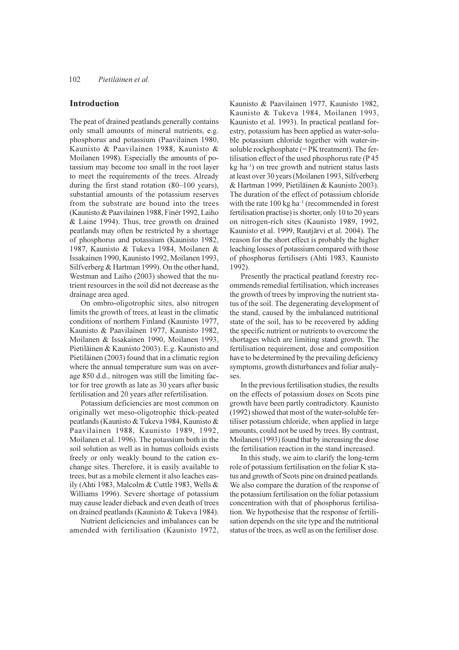### Introduction

The peat of drained peatlands generally contains only small amounts of mineral nutrients, e.g. phosphorus and potassium (Paavilainen 1980, Kaunisto & Paavilainen 1988, Kaunisto & Moilanen 1998). Especially the amounts of potassium may become too small in the root laver to meet the requirements of the trees. Already during the first stand rotation  $(80-100 \text{ years})$ , substantial amounts of the potassium reserves from the substrate are bound into the trees (Kaunisto & Paavilainen 1988, Finér 1992, Laiho & Laine 1994). Thus, tree growth on drained peatlands may often be restricted by a shortage of phosphorus and potassium (Kaunisto 1982, 1987, Kaunisto & Tukeva 1984, Moilanen & Issakainen 1990, Kaunisto 1992, Moilanen 1993, Silfverberg & Hartman 1999). On the other hand, Westman and Laiho (2003) showed that the nutrient resources in the soil did not decrease as the drainage area aged.

On ombro-oligotrophic sites, also nitrogen limits the growth of trees, at least in the climatic conditions of northern Finland (Kaunisto 1977, Kaunisto & Paavilainen 1977, Kaunisto 1982, Moilanen & Issakainen 1990, Moilanen 1993, Pietiläinen & Kaunisto 2003). E.g. Kaunisto and Pietiläinen (2003) found that in a climatic region where the annual temperature sum was on average 850 d.d., nitrogen was still the limiting factor for tree growth as late as 30 years after basic fertilisation and 20 years after refertilisation.

Potassium deficiencies are most common on originally wet meso-oligotrophic thick-peated peatlands (Kaunisto & Tukeva 1984, Kaunisto & Paavilainen 1988, Kaunisto 1989, 1992, Moilanen et al. 1996). The potassium both in the soil solution as well as in humus colloids exists freely or only weakly bound to the cation exchange sites. Therefore, it is easily available to trees, but as a mobile element it also leaches easily (Ahti 1983, Malcolm & Cuttle 1983, Wells & Williams 1996). Severe shortage of potassium may cause leader dieback and even death of trees on drained peatlands (Kaunisto & Tukeva 1984).

Nutrient deficiencies and imbalances can be amended with fertilisation (Kaunisto 1972, Kaunisto & Paavilainen 1977, Kaunisto 1982, Kaunisto & Tukeva 1984, Moilanen 1993, Kaunisto et al. 1993). In practical peatland forestry, potassium has been applied as water-soluble potassium chloride together with water-insoluble rockphosphate (= PK treatment). The fertilisation effect of the used phosphorus rate (P45)  $kg$  ha<sup>-1</sup>) on tree growth and nutrient status lasts at least over 30 years (Moilanen 1993, Silfverberg & Hartman 1999, Pietiläinen & Kaunisto 2003). The duration of the effect of potassium chloride with the rate  $100 \text{ kg}$  ha<sup>-1</sup> (recommended in forest fertilisation practise) is shorter, only 10 to 20 years on nitrogen-rich sites (Kaunisto 1989, 1992, Kaunisto et al. 1999, Rautjärvi et al. 2004). The reason for the short effect is probably the higher leaching losses of potassium compared with those of phosphorus fertilisers (Ahti 1983, Kaunisto  $1992$ ).

Presently the practical peatland forestry recommends remedial fertilisation, which increases the growth of trees by improving the nutrient status of the soil. The degenerating development of the stand, caused by the imbalanced nutritional state of the soil, has to be recovered by adding the specific nutrient or nutrients to overcome the shortages which are limiting stand growth. The fertilisation requirement, dose and composition have to be determined by the prevailing deficiency symptoms, growth disturbances and foliar analyses.

In the previous fertilisation studies, the results on the effects of potassium doses on Scots pine growth have been partly contradictory. Kaunisto (1992) showed that most of the water-soluble fertiliser potassium chloride, when applied in large amounts, could not be used by trees. By contrast, Moilanen (1993) found that by increasing the dose the fertilisation reaction in the stand increased.

In this study, we aim to clarify the long-term role of potassium fertilisation on the foliar K status and growth of Scots pine on drained peatlands. We also compare the duration of the response of the potassium fertilisation on the foliar potassium concentration with that of phosphorus fertilisation. We hypothesise that the response of fertilisation depends on the site type and the nutritional status of the trees, as well as on the fertiliser dose.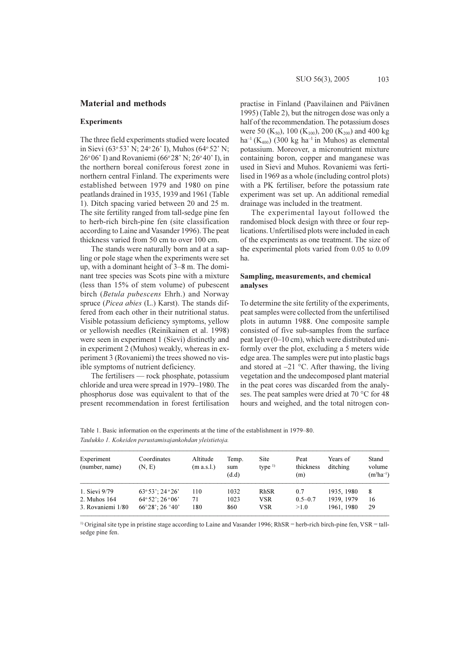### **Material and methods**

# **Experiments**

The three field experiments studied were located in Sievi (63° 53' N; 24° 26' I), Muhos (64° 52' N;  $26^{\circ}06'$  I) and Rovaniemi (66 $^{\circ}28'$  N:  $26^{\circ}40'$  I), in the northern boreal coniferous forest zone in northern central Finland. The experiments were established between 1979 and 1980 on pine peatlands drained in 1935, 1939 and 1961 (Table 1). Ditch spacing varied between 20 and 25 m. The site fertility ranged from tall-sedge pine fen to herb-rich birch-pine fen (site classification according to Laine and Vasander 1996). The peat thickness varied from 50 cm to over 100 cm.

The stands were naturally born and at a sapling or pole stage when the experiments were set up, with a dominant height of 3–8 m. The dominant tree species was Scots pine with a mixture (less than 15% of stem volume) of pubescent birch (Betula pubescens Ehrh.) and Norway spruce (*Picea abies* (L.) Karst). The stands differed from each other in their nutritional status. Visible potassium deficiency symptoms, yellow or yellowish needles (Reinikainen et al. 1998) were seen in experiment 1 (Sievi) distinctly and in experiment 2 (Muhos) weakly, whereas in experiment 3 (Rovaniemi) the trees showed no visible symptoms of nutrient deficiency.

The fertilisers — rock phosphate, potassium chloride and urea were spread in 1979–1980. The phosphorus dose was equivalent to that of the present recommendation in forest fertilisation practise in Finland (Paavilainen and Päivänen 1995) (Table 2), but the nitrogen dose was only a half of the recommendation. The potassium doses were 50 (K<sub>50</sub>), 100 (K<sub>100</sub>), 200 (K<sub>200</sub>) and 400 kg  $ha^{-1}(K_{400})$  (300 kg  $ha^{-1}$  in Muhos) as elemental potassium. Moreover, a micronutrient mixture containing boron, copper and manganese was used in Sievi and Muhos. Rovaniemi was fertilised in 1969 as a whole (including control plots) with a PK fertiliser, before the potassium rate experiment was set up. An additional remedial drainage was included in the treatment.

The experimental layout followed the randomised block design with three or four replications. Unfertilised plots were included in each of the experiments as one treatment. The size of the experimental plots varied from 0.05 to 0.09 ha

### Sampling, measurements, and chemical analyses

To determine the site fertility of the experiments. peat samples were collected from the unfertilised plots in autumn 1988. One composite sample consisted of five sub-samples from the surface peat layer (0-10 cm), which were distributed uniformly over the plot, excluding a 5 meters wide edge area. The samples were put into plastic bags and stored at  $-21$  °C. After thawing, the living vegetation and the undecomposed plant material in the peat cores was discarded from the analyses. The peat samples were dried at 70 °C for 48 hours and weighed, and the total nitrogen con-

Table 1. Basic information on the experiments at the time of the establishment in 1979–80. Taulukko 1. Kokeiden perustamisajankohdan yleistietoja.

| Experiment<br>(number, name) | Coordinates<br>(N, E)                    | Altitude<br>(m a.s.l.) | Temp.<br>sum<br>(d.d) | Site<br>type $\frac{1}{2}$ | Peat<br>thickness<br>(m) | Years of<br>ditching | Stand<br>volume<br>$(m^3ha^{-1})$ |
|------------------------------|------------------------------------------|------------------------|-----------------------|----------------------------|--------------------------|----------------------|-----------------------------------|
| 1. Sievi 9/79                | $63°53$ ; 24 ° 26'                       | 110                    | 1032                  | RhSR                       | 0.7                      | 1935, 1980           | 8                                 |
| 2. Muhos 164                 | $64°52$ ': 26 ° 06'                      | 71                     | 1023                  | <b>VSR</b>                 | $0.5 - 0.7$              | 1939, 1979           | 16                                |
| 3. Rovaniemi 1/80            | $66^{\circ}28$ : 26 $^{\circ}40^{\circ}$ | 180                    | 860                   | VSR                        | >1.0                     | 1961, 1980           | 29                                |

<sup>1)</sup> Original site type in pristine stage according to Laine and Vasander 1996; RhSR = herb-rich birch-pine fen, VSR = tallsedge pine fen.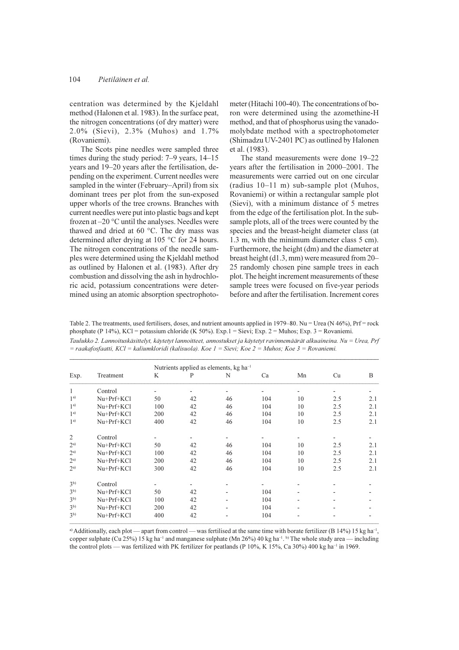#### 104 Pietiläinen et al

centration was determined by the Kjeldahl method (Halonen et al. 1983). In the surface peat, the nitrogen concentrations (of dry matter) were 2.0% (Sievi), 2.3% (Muhos) and 1.7% (Rovaniemi).

The Scots pine needles were sampled three times during the study period:  $7-9$  years,  $14-15$ years and 19–20 years after the fertilisation, depending on the experiment. Current needles were sampled in the winter (February–April) from six dominant trees per plot from the sun-exposed upper whorls of the tree crowns. Branches with current needles were put into plastic bags and kept frozen at  $-20$  °C until the analyses. Needles were thawed and dried at 60 °C. The dry mass was determined after drying at 105 °C for 24 hours. The nitrogen concentrations of the needle samples were determined using the Kjeldahl method as outlined by Halonen et al. (1983). After dry combustion and dissolving the ash in hydrochloric acid, potassium concentrations were determined using an atomic absorption spectrophotometer (Hitachi 100-40). The concentrations of boron were determined using the azomethine-H method, and that of phosphorus using the vanadomolybdate method with a spectrophotometer (Shimadzu UV-2401 PC) as outlined by Halonen et al. (1983).

The stand measurements were done 19–22 vears after the fertilisation in 2000–2001. The measurements were carried out on one circular (radius  $10-11$  m) sub-sample plot (Muhos, Rovaniemi) or within a rectangular sample plot (Sievi), with a minimum distance of 5 metres from the edge of the fertilisation plot. In the subsample plots, all of the trees were counted by the species and the breast-height diameter class (at 1.3 m, with the minimum diameter class 5 cm). Furthermore, the height (dm) and the diameter at breast height (d1.3, mm) were measured from 20-25 randomly chosen pine sample trees in each plot. The height increment measurements of these sample trees were focused on five-year periods before and after the fertilisation. Increment cores

Table 2. The treatments, used fertilisers, doses, and nutrient amounts applied in 1979–80. Nu = Urea (N 46%), Prf = rock phosphate (P 14%), KCl = potassium chloride (K 50%). Exp. 1 = Sievi; Exp. 2 = Muhos; Exp. 3 = Rovaniemi. Taulukko 2. Lannoituskäsittelyt, käytetyt lannoitteet, annostukset ja käytetyt ravinnemäärät alkuaineina. Nu = Urea, Prf

= raakafosfaatti, KCl = kaliumkloridi (kalisuola). Koe 1 = Sievi; Koe 2 = Muhos; Koe 3 = Rovaniemi.

|                |              | Nutrients applied as elements, kg ha <sup>-1</sup> |    |    |     |                          |     |     |  |
|----------------|--------------|----------------------------------------------------|----|----|-----|--------------------------|-----|-----|--|
| Exp.           | Treatment    | K                                                  | P  | N  | Ca  | Mn                       | Cu  | B   |  |
| 1              | Control      |                                                    | -  | ٠  |     | -                        | -   |     |  |
| 1 <sup>a</sup> | $Nu+Prf+KC$  | 50                                                 | 42 | 46 | 104 | 10                       | 2.5 | 2.1 |  |
| 1 <sup>a</sup> | Nu+Prf+KCl   | 100                                                | 42 | 46 | 104 | 10                       | 2.5 | 2.1 |  |
| 1 <sup>a</sup> | Nu+Prf+KCl   | 200                                                | 42 | 46 | 104 | 10                       | 2.5 | 2.1 |  |
| 1 <sup>a</sup> | Nu+Prf+KCl   | 400                                                | 42 | 46 | 104 | 10                       | 2.5 | 2.1 |  |
| $\overline{2}$ | Control      |                                                    |    |    |     |                          |     |     |  |
| $2^{a)}$       | Nu+Prf+KCl   | 50                                                 | 42 | 46 | 104 | 10                       | 2.5 | 2.1 |  |
| $2^{a}$        | $Nu+Prf+KC1$ | 100                                                | 42 | 46 | 104 | 10                       | 2.5 | 2.1 |  |
| $2^{a}$        | $Nu+Prf+KC1$ | 200                                                | 42 | 46 | 104 | 10                       | 2.5 | 2.1 |  |
| $2^{a}$        | $Nu+Prf+KC1$ | 300                                                | 42 | 46 | 104 | 10                       | 2.5 | 2.1 |  |
| 3 <sup>b</sup> | Control      |                                                    |    |    |     |                          |     |     |  |
| 3 <sup>b</sup> | $Nu+Prf+KC1$ | 50                                                 | 42 |    | 104 | $\overline{\phantom{0}}$ |     |     |  |
| 3 <sup>b</sup> | Nu+Prf+KCl   | 100                                                | 42 |    | 104 |                          |     |     |  |
| 3 <sup>b</sup> | $Nu+Prf+KC1$ | 200                                                | 42 |    | 104 | $\overline{\phantom{a}}$ |     |     |  |
| 3 <sup>b</sup> | Nu+Prf+KCl   | 400                                                | 42 |    | 104 |                          |     |     |  |

a) Additionally, each plot — apart from control — was fertilised at the same time with borate fertilizer (B 14%) 15 kg ha<sup>-1</sup>, copper sulphate (Cu 25%) 15 kg ha<sup>-1</sup> and manganese sulphate (Mn 26%) 40 kg ha<sup>-1</sup>. <sup>b)</sup> The whole study area — including the control plots — was fertilized with PK fertilizer for peatlands (P 10%, K 15%, Ca 30%) 400 kg ha<sup>-1</sup> in 1969.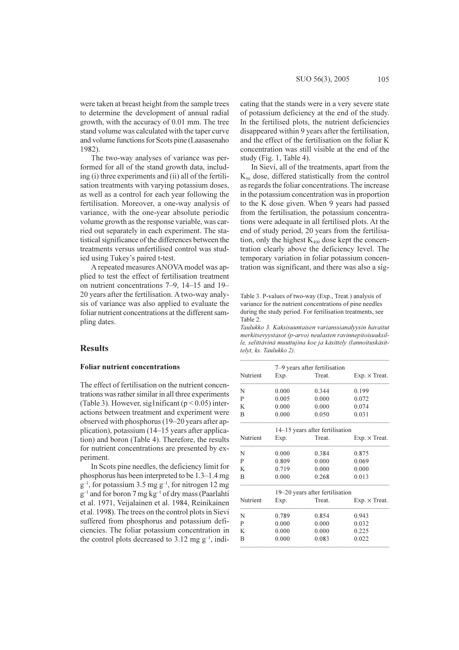were taken at breast height from the sample trees to determine the development of annual radial growth, with the accuracy of 0.01 mm. The tree stand volume was calculated with the taper curve and volume functions for Scots pine (Laasasenaho 1982).

The two-way analyses of variance was performed for all of the stand growth data, including (i) three experiments and (ii) all of the fertilisation treatments with varying potassium doses, as well as a control for each year following the fertilisation. Moreover, a one-way analysis of variance, with the one-year absolute periodic volume growth as the response variable, was carried out separately in each experiment. The statistical significance of the differences between the treatments versus unfertilised control was studied using Tukey's paired t-test.

A repeated measures ANOVA model was applied to test the effect of fertilisation treatment on nutrient concentrations 7–9, 14–15 and 19– 20 years after the fertilisation. A two-way analysis of variance was also applied to evaluate the foliar nutrient concentrations at the different sampling dates.

### **Results**

# **Foliar nutrient concentrations**

The effect of fertilisation on the nutrient concentrations was rather similar in all three experiments (Table 3). However, sig1nificant ( $p < 0.05$ ) interactions between treatment and experiment were observed with phosphorus (19–20 years after application), potassium (14–15 years after application) and boron (Table 4). Therefore, the results for nutrient concentrations are presented by experiment.

In Scots pine needles, the deficiency limit for phosphorus has been interpreted to be  $1.3-1.4$  mg  $g^{-1}$ , for potassium 3.5 mg  $g^{-1}$ , for nitrogen 12 mg  $g^{-1}$  and for boron 7 mg kg<sup>-1</sup> of dry mass (Paarlahti et al. 1971, Veijalainen et al. 1984, Reinikainen et al. 1998). The trees on the control plots in Sievi suffered from phosphorus and potassium deficiencies. The foliar potassium concentration in the control plots decreased to 3.12 mg  $g^{-1}$ , indicating that the stands were in a very severe state of potassium deficiency at the end of the study. In the fertilised plots, the nutrient deficiencies disappeared within 9 years after the fertilisation, and the effect of the fertilisation on the foliar K concentration was still visible at the end of the study (Fig. 1, Table 4).

SUO 56(3), 2005

In Sievi, all of the treatments, apart from the  $K_{50}$  dose, differed statistically from the control as regards the foliar concentrations. The increase in the potassium concentration was in proportion to the K dose given. When 9 years had passed from the fertilisation, the potassium concentrations were adequate in all fertilised plots. At the end of study period, 20 years from the fertilisation, only the highest  $K_{400}$  dose kept the concentration clearly above the deficiency level. The temporary variation in foliar potassium concentration was significant, and there was also a sig-

Table 3. P-values of two-way (Exp., Treat.) analysis of variance for the nutrient concentrations of pine needles during the study period. For fertilisation treatments, see Table 2.

Taulukko 3. Kaksisuuntaisen varianssianalyysin havaitut merkitsevyystasot (p-arvo) neulasten ravinnepitoisuuksille, selittävinä muuttujina koe ja käsittely (lannoituskäsittelyt, ks. Taulukko 2).

|          | 7–9 years after fertilisation |                                 |                      |  |  |  |  |
|----------|-------------------------------|---------------------------------|----------------------|--|--|--|--|
| Nutrient | Exp.                          | Treat.                          | $Exp. \times Treat.$ |  |  |  |  |
| N        | 0.000                         | 0.344                           | 0.199                |  |  |  |  |
| P        | 0.005                         | 0.000                           | 0.072                |  |  |  |  |
| K        | 0.000                         | 0.000                           | 0.074                |  |  |  |  |
| B        | 0.000                         | 0.050                           | 0.031                |  |  |  |  |
|          |                               | 14–15 years after fertilisation |                      |  |  |  |  |
| Nutrient | Exp.                          | Treat.                          | $Exp. \times Treat.$ |  |  |  |  |
| N        | 0.000                         | 0.384                           | 0.875                |  |  |  |  |
| P        | 0.809                         | 0.000                           | 0.069                |  |  |  |  |
| K        | 0.719                         | 0.000                           | 0.000                |  |  |  |  |
| B        | 0.000                         | 0.268                           | 0.013                |  |  |  |  |
|          |                               | 19–20 years after fertilisation |                      |  |  |  |  |
| Nutrient | Exp.                          | Treat.                          | $Exp. \times Treat.$ |  |  |  |  |
| N        | 0.789                         | 0.854                           | 0.943                |  |  |  |  |
| P        | 0.000                         | 0.000                           | 0.032                |  |  |  |  |
| K        | 0.000                         | 0.000                           | 0.225                |  |  |  |  |
| B        | 0.000                         | 0.083                           | 0.022                |  |  |  |  |
|          |                               |                                 |                      |  |  |  |  |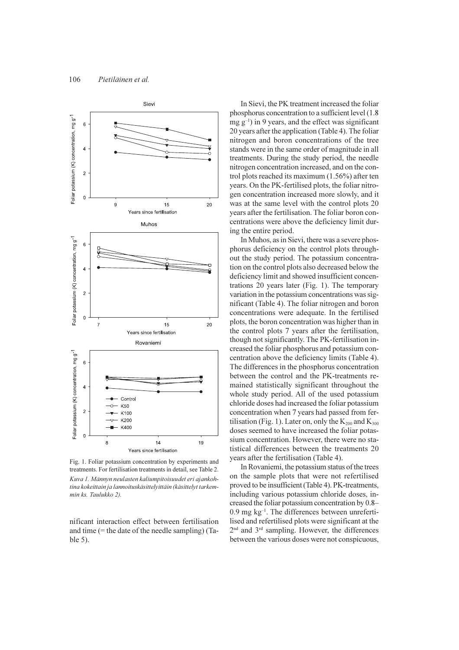

Fig. 1. Foliar potassium concentration by experiments and treatments. For fertilisation treatments in detail, see Table 2. Kuva 1. Männyn neulasten kaliumpitoisuudet eri ajankohtina kokeittain ja lannoituskäsittelvittäin (käsittelyt tarkemmin ks. Taulukko 2).

nificant interaction effect between fertilisation and time  $(=$  the date of the needle sampling)  $(Ta$  $ble 5)$ .

In Sievi, the PK treatment increased the foliar phosphorus concentration to a sufficient level (1.8)  $mg g^{-1}$ ) in 9 years, and the effect was significant 20 years after the application (Table 4). The foliar nitrogen and boron concentrations of the tree stands were in the same order of magnitude in all treatments. During the study period, the needle nitrogen concentration increased, and on the control plots reached its maximum  $(1.56\%)$  after ten years. On the PK-fertilised plots, the foliar nitrogen concentration increased more slowly, and it was at the same level with the control plots 20 years after the fertilisation. The foliar boron concentrations were above the deficiency limit during the entire period.

In Muhos, as in Sievi, there was a severe phosphorus deficiency on the control plots throughout the study period. The potassium concentration on the control plots also decreased below the deficiency limit and showed insufficient concentrations 20 years later (Fig. 1). The temporary variation in the potassium concentrations was significant (Table 4). The foliar nitrogen and boron concentrations were adequate. In the fertilised plots, the boron concentration was higher than in the control plots 7 years after the fertilisation, though not significantly. The PK-fertilisation increased the foliar phosphorus and potassium concentration above the deficiency limits (Table 4). The differences in the phosphorus concentration between the control and the PK-treatments remained statistically significant throughout the whole study period. All of the used potassium chloride doses had increased the foliar potassium concentration when 7 years had passed from fertilisation (Fig. 1). Later on, only the  $K_{200}$  and  $K_{300}$ doses seemed to have increased the foliar potassium concentration. However, there were no statistical differences between the treatments 20 years after the fertilisation (Table 4).

In Rovaniemi, the potassium status of the trees on the sample plots that were not refertilised proved to be insufficient (Table 4). PK-treatments, including various potassium chloride doses, increased the foliar potassium concentration by 0.8- $0.9$  mg kg<sup>-1</sup>. The differences between unrefertilised and refertilised plots were significant at the 2<sup>nd</sup> and 3<sup>rd</sup> sampling. However, the differences between the various doses were not conspicuous.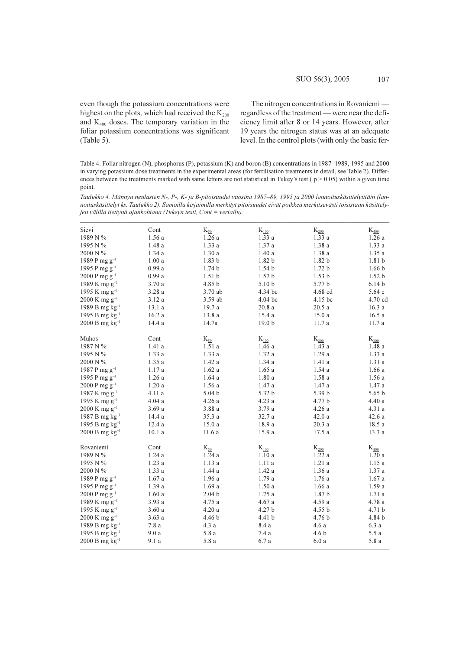even though the potassium concentrations were highest on the plots, which had received the K<sub>200</sub> and  $K_{400}$  doses. The temporary variation in the foliar potassium concentrations was significant  $(Table 5)$ .

The nitrogen concentrations in Rovaniemiregardless of the treatment - were near the deficiency limit after 8 or 14 years. However, after 19 years the nitrogen status was at an adequate level. In the control plots (with only the basic fer-

Table 4. Foliar nitrogen (N), phosphorus (P), potassium (K) and boron (B) concentrations in 1987-1989, 1995 and 2000 in varying potassium dose treatments in the experimental areas (for fertilisation treatments in detail, see Table 2). Differences between the treatments marked with same letters are not statistical in Tukey's test ( $p > 0.05$ ) within a given time point.

Taulukko 4. Männyn neulasten N-, P-, K- ja B-pitoisuudet vuosina 1987–89, 1995 ja 2000 lannoituskäsittelyittäin (lannoituskäsittelyt ks. Taulukko 2). Samoilla kirjaimilla merkityt pitoisuudet eivät poikkea merkitsevästi toisistaan käsittelyjen välillä tiettynä ajankohtana (Tukeyn testi, Cont = vertailu).

| Sievi                       | Cont               | $K_{\underline{50}}$ | $K_{100}$         | $K_{200}$         | $K_{400}$         |
|-----------------------------|--------------------|----------------------|-------------------|-------------------|-------------------|
| 1989 N %                    | 1.56a              | 1.26a                | 1.33a             | 1.33a             | 1.26a             |
| 1995 N %                    | 1.48 a             | 1.33a                | 1.37 a            | 1.38a             | $1.33\ a$         |
| 2000 N %                    | 1.34a              | $1.30\ a$            | $1.40\ a$         | 1.38a             | $1.35\ a$         |
| 1989 P mg $g^{-1}$          | 1.00a              | 1.83 <sub>b</sub>    | 1.82 <sub>b</sub> | 1.82 <sub>b</sub> | 1.81 b            |
| 1995 P mg g <sup>-1</sup>   | 0.99a              | 1.74 <sub>b</sub>    | 1.54 <sub>b</sub> | 1.72 <sub>b</sub> | 1.66 <sub>b</sub> |
| 2000 P mg $g^{-1}$          | 0.99a              | 1.51 <sub>b</sub>    | 1.57 <sub>b</sub> | 1.53 <sub>b</sub> | 1.52 b            |
| 1989 K mg g <sup>-1</sup>   | 3.70a              | 4.85 b               | 5.10 b            | 5.77 b            | 6.14 <sub>b</sub> |
| 1995 K mg g <sup>-1</sup>   | 3.28a              | 3.70 ab              | 4.34 bc           | 4.68 cd           | 5.64 e            |
| $2000$ K mg g <sup>-1</sup> | 3.12 a             | 3.59 ab              | 4.04 bc           | 4.15 bc           | 4.70 cd           |
| 1989 B mg $kg^{-1}$         | 13.1 a             | 19.7 a               | 20.8a             | 20.5a             | 16.3a             |
| 1995 B mg $kg^{-1}$         | 16.2a              | 13.8 a               | 15.4 a            | 15.0a             | 16.5a             |
| $2000 B mg kg^{-1}$         | 14.4 a             | 14.7a                | 19.0 <sub>b</sub> | 11.7 a            | 11.7 a            |
| Muhos                       | Cont               | $\rm K_{50}$         | $K_{100}$         | $K_{200}$         | $K_{300}$         |
| 1987 N %                    | 1.41a              | 1.51a                | 1.46a             | 1.43a             | 1.48a             |
| 1995 N %                    | 1.33a              | 1.33 a               | 1.32a             | 1.29a             | 1.33a             |
| 2000 N %                    | $1.35\ a$          | $1.42\ a$            | 1.34a             | 1.41a             | 1.31a             |
| 1987 P mg $g^{-1}$          | 1.17a              | 1.62a                | 1.65a             | 1.54a             | 1.66a             |
| 1995 P mg $g^{-1}$          | 1.26a              | 1.64a                | 1.80a             | 1.58a             | 1.56a             |
| 2000 P mg $g^{-1}$          | 1.20a              | 1.56a                | 1.47 a            | 1.47 a            | 1.47a             |
| 1987 K mg $g^{-1}$          | 4.11 a             | 5.04 <sub>b</sub>    | 5.32 b            | 5.39 b            | 5.65 <sub>b</sub> |
| 1995 K mg $g^{-1}$          | 4.04a              | 4.26a                | 4.23 a            | 4.77 b            | $4.40\ a$         |
| $2000$ K mg g <sup>-1</sup> | 3.69a              | 3.88a                | 3.79 a            | 4.26a             | 4.31 a            |
| 1987 B mg $kg^{-1}$         | 14.4 a             | 35.3 a               | 32.7 a            | 42.0a             | 42.6a             |
| 1995 B mg $kg^{-1}$         | 12.4a              | 15.0a                | 18.9 a            | 20.3a             | 18.5a             |
| $2000 B mg kg^{-1}$         | $10.1\ \mathrm{a}$ | 11.6 a               | 15.9 a            | 17.5 a            | 13.3a             |
|                             |                    |                      |                   |                   |                   |
| Rovaniemi                   | Cont               | $K_{50}$             | $K_{100}$         | $K_{200}$         | $K_{400}$         |
| 1989 N %                    | 1.24 a             | 1.24a                | 1.10a             | 1.22a             | 1.20a             |
| 1995 N %                    | 1.23a              | 1.13a                | 1.11a             | 1.21a             | 1.15a             |
| 2000 N %                    | 1.33a              | 1.44a                | 1.42a             | 1.36a             | 1.37a             |
| 1989 P mg g <sup>-1</sup>   | 1.67a              | 1.96a                | 1.79 a            | 1.76a             | 1.67a             |
| 1995 P mg g <sup>-1</sup>   | 1.39 a             | 1.69a                | 1.50a             | 1.66a             | 1.59a             |
| 2000 P mg $g^{-1}$          | 1.60a              | 2.04 <sub>b</sub>    | 1.75a             | 1.87 <sub>b</sub> | 1.71a             |
| 1989 K mg g <sup>-1</sup>   | 3.93 a             | 4.75 a               | 4.67 a            | 4.59 a            | 4.78 a            |
| 1995 K mg g <sup>-1</sup>   | 3.60a              | 4.20a                | 4.27 b            | 4.55 b            | 4.71 b            |
| $2000$ K mg g <sup>-1</sup> | 3.63a              | 4.46 b               | 4.41 b            | 4.76 b            | 4.84 b            |
| 1989 B mg $kg^{-1}$         | 7.8a               | 4.3 a                | 8.4 a             | 4.6a              | 6.3a              |
| 1995 B mg $kg^{-1}$         | 9.0a               | 5.8 a                | 7.4 a             | 4.6 b             | 5.5a              |
| $2000 B mg kg^{-1}$         | 9.1 a              | 5.8 a                | 6.7 a             | 6.0a              | 5.8 a             |
|                             |                    |                      |                   |                   |                   |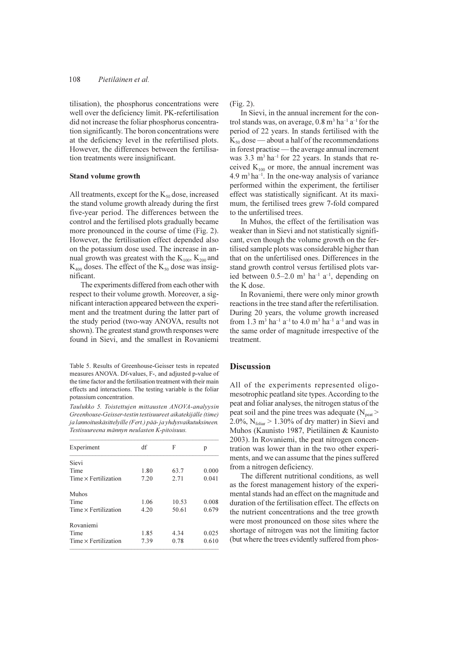tilisation), the phosphorus concentrations were well over the deficiency limit. PK-refertilisation did not increase the foliar phosphorus concentration significantly. The boron concentrations were at the deficiency level in the refertilised plots. However, the differences between the fertilisation treatments were insignificant.

### **Stand volume growth**

All treatments, except for the  $K_{50}$  dose, increased the stand volume growth already during the first five-year period. The differences between the control and the fertilised plots gradually became more pronounced in the course of time (Fig. 2). However, the fertilisation effect depended also on the potassium dose used. The increase in annual growth was greatest with the  $K_{100}$ ,  $K_{200}$  and  $K_{400}$  doses. The effect of the  $K_{50}$  dose was insignificant

The experiments differed from each other with respect to their volume growth. Moreover, a significant interaction appeared between the experiment and the treatment during the latter part of the study period (two-way ANOVA, results not shown). The greatest stand growth responses were found in Sievi, and the smallest in Rovaniemi

Table 5. Results of Greenhouse-Geisser tests in repeated measures ANOVA. Df-values, F-, and adjusted p-value of the time factor and the fertilisation treatment with their main effects and interactions. The testing variable is the foliar potassium concentration.

Taulukko 5. Toistettujen mittausten ANOVA-analyysin Greenhouse-Geisser-testin testisuureet aikatekijälle (time) ja lannoituskäsittelyille (Fert.) pää- ja yhdysvaikutuksineen. Testisuureena männyn neulasten K-pitoisuus.

| Experiment                  | df   | F     | p     |
|-----------------------------|------|-------|-------|
| Sievi                       |      |       |       |
| Time                        | 1.80 | 63.7  | 0.000 |
| $Time \times Fertilization$ | 7.20 | 2.71  | 0.041 |
| Muhos                       |      |       |       |
| Time                        | 1.06 | 10.53 | 0.008 |
| $Time \times Fertilization$ | 4.20 | 50.61 | 0.679 |
| Rovaniemi                   |      |       |       |
| Time                        | 1.85 | 4.34  | 0.025 |
| $Time \times Fertilization$ | 7.39 | 0.78  | 0.610 |

 $(Fig. 2)$ .

In Sievi, in the annual increment for the control stands was, on average,  $0.8$  m<sup>3</sup> ha<sup>-1</sup> a<sup>-1</sup> for the period of 22 years. In stands fertilised with the  $K_{50}$  dose — about a half of the recommendations in forest practise — the average annual increment was 3.3 m<sup>3</sup> ha<sup>-1</sup> for 22 years. In stands that received  $K_{100}$  or more, the annual increment was 4.9 m<sup>3</sup> ha<sup>-1</sup>. In the one-way analysis of variance performed within the experiment, the fertiliser effect was statistically significant. At its maximum, the fertilised trees grew 7-fold compared to the unfertilised trees.

In Muhos, the effect of the fertilisation was weaker than in Sievi and not statistically significant, even though the volume growth on the fertilised sample plots was considerable higher than that on the unfertilised ones. Differences in the stand growth control versus fertilised plots varied between  $0.5-2.0$  m<sup>3</sup> ha<sup>-1</sup> a<sup>-1</sup>, depending on the K dose.

In Rovaniemi, there were only minor growth reactions in the tree stand after the refertilisation. During 20 years, the volume growth increased from 1.3 m<sup>3</sup> ha<sup>-1</sup> a<sup>-1</sup> to 4.0 m<sup>3</sup> ha<sup>-1</sup> a<sup>-1</sup> and was in the same order of magnitude irrespective of the treatment.

### **Discussion**

All of the experiments represented oligomesotrophic peatland site types. According to the peat and foliar analyses, the nitrogen status of the peat soil and the pine trees was adequate (N<sub>peat</sub> > 2.0%,  $N_{\text{foliar}} > 1.30\%$  of dry matter) in Sievi and Muhos (Kaunisto 1987, Pietiläinen & Kaunisto 2003). In Rovaniemi, the peat nitrogen concentration was lower than in the two other experiments, and we can assume that the pines suffered from a nitrogen deficiency.

The different nutritional conditions, as well as the forest management history of the experimental stands had an effect on the magnitude and duration of the fertilisation effect. The effects on the nutrient concentrations and the tree growth were most pronounced on those sites where the shortage of nitrogen was not the limiting factor (but where the trees evidently suffered from phos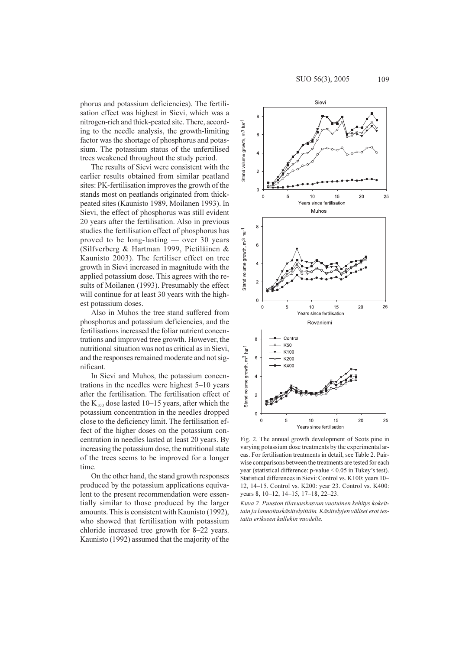phorus and potassium deficiencies). The fertilisation effect was highest in Sievi, which was a nitrogen-rich and thick-peated site. There, according to the needle analysis, the growth-limiting factor was the shortage of phosphorus and potassium. The potassium status of the unfertilised trees weakened throughout the study period.

The results of Sievi were consistent with the earlier results obtained from similar peatland sites: PK-fertilisation improves the growth of the stands most on peatlands originated from thickpeated sites (Kaunisto 1989, Moilanen 1993). In Sievi, the effect of phosphorus was still evident 20 years after the fertilisation. Also in previous studies the fertilisation effect of phosphorus has proved to be long-lasting — over 30 years (Silfverberg & Hartman 1999, Pietiläinen & Kaunisto 2003). The fertiliser effect on tree growth in Sievi increased in magnitude with the applied potassium dose. This agrees with the results of Moilanen (1993). Presumably the effect will continue for at least 30 years with the highest potassium doses.

Also in Muhos the tree stand suffered from phosphorus and potassium deficiencies, and the fertilisations increased the foliar nutrient concentrations and improved tree growth. However, the nutritional situation was not as critical as in Sievi, and the responses remained moderate and not significant.

In Sievi and Muhos, the potassium concentrations in the needles were highest  $5-10$  years after the fertilisation. The fertilisation effect of the  $K_{100}$  dose lasted 10–15 years, after which the potassium concentration in the needles dropped close to the deficiency limit. The fertilisation effect of the higher doses on the potassium concentration in needles lasted at least 20 years. By increasing the potassium dose, the nutritional state of the trees seems to be improved for a longer time.

On the other hand, the stand growth responses produced by the potassium applications equivalent to the present recommendation were essentially similar to those produced by the larger amounts. This is consistent with Kaunisto (1992), who showed that fertilisation with potassium chloride increased tree growth for 8–22 years. Kaunisto (1992) assumed that the majority of the



Fig. 2. The annual growth development of Scots pine in varying potassium dose treatments by the experimental areas. For fertilisation treatments in detail, see Table 2. Pairwise comparisons between the treatments are tested for each vear (statistical difference:  $p$ -value < 0.05 in Tukev's test). Statistical differences in Sievi: Control vs. K100: years 10-12, 14-15. Control vs. K200: year 23. Control vs. K400: years 8, 10-12, 14-15, 17-18, 22-23.

Kuva 2. Puuston tilavuuskasvun vuotuinen kehitys kokeittain ja lannoituskäsittelyittäin. Käsittelyjen väliset erot testattu erikseen kullekin vuodelle.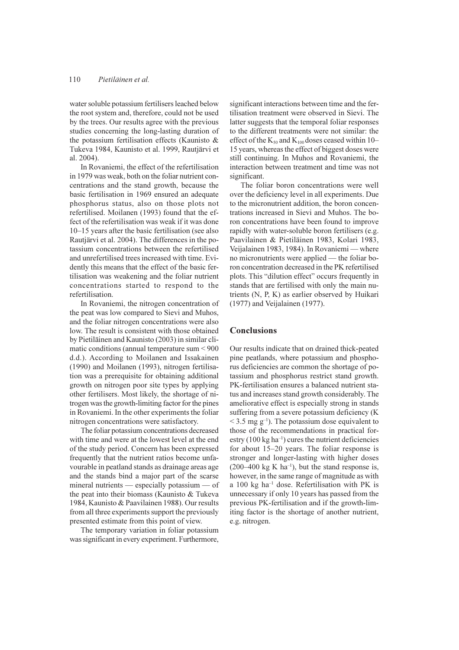#### 110 Pietiläinen et al

water soluble potassium fertilisers leached below the root system and, therefore, could not be used by the trees. Our results agree with the previous studies concerning the long-lasting duration of the potassium fertilisation effects (Kaunisto & Tukeva 1984, Kaunisto et al. 1999, Rautjärvi et al. 2004).

In Rovaniemi, the effect of the refertilisation in 1979 was weak both on the foliar nutrient concentrations and the stand growth, because the basic fertilisation in 1969 ensured an adequate phosphorus status, also on those plots not refertilised. Moilanen (1993) found that the effect of the refertilisation was weak if it was done 10–15 years after the basic fertilisation (see also Rautjärvi et al. 2004). The differences in the potassium concentrations between the refertilised and unrefertilised trees increased with time. Evidently this means that the effect of the basic fertilisation was weakening and the foliar nutrient concentrations started to respond to the refertilisation.

In Rovaniemi, the nitrogen concentration of the peat was low compared to Sievi and Muhos, and the foliar nitrogen concentrations were also low. The result is consistent with those obtained by Pietiläinen and Kaunisto (2003) in similar climatic conditions (annual temperature sum  $< 900$ ) d.d.). According to Moilanen and Issakainen (1990) and Moilanen (1993), nitrogen fertilisation was a prerequisite for obtaining additional growth on nitrogen poor site types by applying other fertilisers. Most likely, the shortage of nitrogen was the growth-limiting factor for the pines in Rovaniemi. In the other experiments the foliar nitrogen concentrations were satisfactory.

The foliar potassium concentrations decreased with time and were at the lowest level at the end of the study period. Concern has been expressed frequently that the nutrient ratios become unfavourable in peatland stands as drainage areas age and the stands bind a major part of the scarse mineral nutrients — especially potassium — of the peat into their biomass (Kaunisto & Tukeva 1984, Kaunisto & Paavilainen 1988). Our results from all three experiments support the previously presented estimate from this point of view.

The temporary variation in foliar potassium was significant in every experiment. Furthermore, significant interactions between time and the fertilisation treatment were observed in Sievi. The latter suggests that the temporal foliar responses to the different treatments were not similar: the effect of the  $K_{50}$  and  $K_{100}$  doses ceased within 10-15 years, whereas the effect of biggest doses were still continuing. In Muhos and Rovaniemi, the interaction between treatment and time was not significant.

The foliar boron concentrations were well over the deficiency level in all experiments. Due to the micronutrient addition, the boron concentrations increased in Sievi and Muhos. The boron concentrations have been found to improve rapidly with water-soluble boron fertilisers (e.g. Paavilainen & Pietiläinen 1983, Kolari 1983, Veijalainen 1983, 1984). In Rovaniemi — where no micronutrients were applied — the foliar boron concentration decreased in the PK refertilised plots. This "dilution effect" occurs frequently in stands that are fertilised with only the main nutrients (N, P, K) as earlier observed by Huikari  $(1977)$  and Veijalainen  $(1977)$ .

### **Conclusions**

Our results indicate that on drained thick-peated pine peatlands, where potassium and phosphorus deficiencies are common the shortage of potassium and phosphorus restrict stand growth. PK-fertilisation ensures a balanced nutrient status and increases stand growth considerably. The ameliorative effect is especially strong in stands suffering from a severe potassium deficiency (K  $\leq$  3.5 mg g<sup>-1</sup>). The potassium dose equivalent to those of the recommendations in practical forestry  $(100 \text{ kg ha}^{-1})$  cures the nutrient deficiencies for about  $15-20$  years. The foliar response is stronger and longer-lasting with higher doses  $(200-400 \text{ kg K} \text{ ha}^{-1})$ , but the stand response is, however, in the same range of magnitude as with a 100 kg ha<sup>-1</sup> dose. Refertilisation with PK is unnecessary if only 10 years has passed from the previous PK-fertilisation and if the growth-limiting factor is the shortage of another nutrient. e.g. nitrogen.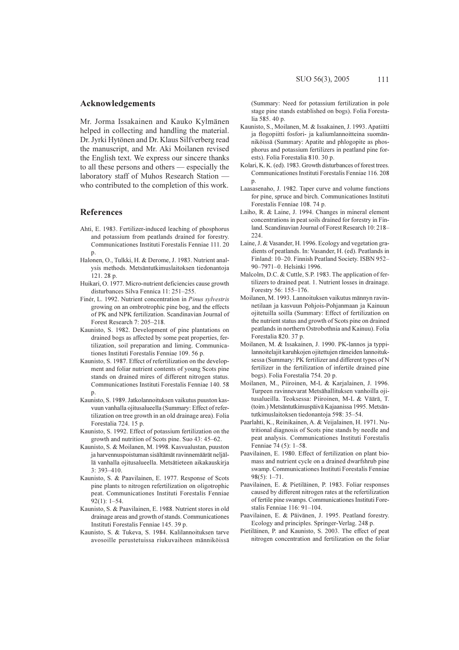### Acknowledgements

Mr. Jorma Issakainen and Kauko Kylmänen helped in collecting and handling the material. Dr. Jyrki Hytönen and Dr. Klaus Silfverberg read the manuscript, and Mr. Aki Moilanen revised the English text. We express our sincere thanks to all these persons and others — especially the laboratory staff of Muhos Research Station who contributed to the completion of this work.

### **References**

- Ahti, E. 1983. Fertilizer-induced leaching of phosphorus and potassium from peatlands drained for forestry. Communicationes Instituti Forestalis Fenniae 111, 20 p.
- Halonen, O., Tulkki, H. & Derome, J. 1983. Nutrient analysis methods. Metsäntutkimuslaitoksen tiedonantoja  $121.28 n$
- Huikari, O. 1977. Micro-nutrient deficiencies cause growth disturbances Silva Fennica 11: 251-255.
- Finér, L. 1992. Nutrient concentration in Pinus sylvestris growing on an ombrotrophic pine bog, and the effects of PK and NPK fertilization. Scandinavian Journal of Forest Research 7: 205-218.
- Kaunisto, S. 1982. Development of pine plantations on drained bogs as affected by some peat properties, fertilization, soil preparation and liming. Communicationes Instituti Forestalis Fenniae 109, 56 p.
- Kaunisto, S. 1987. Effect of refertilization on the development and foliar nutrient contents of young Scots pine stands on drained mires of different nitrogen status. Communicationes Instituti Forestalis Fenniae 140.58
- Kaunisto, S. 1989. Jatkolannoituksen vaikutus puuston kasvuun vanhalla ojitusalueella (Summary: Effect of refertilization on tree growth in an old drainage area). Folia Forestalia 724. 15 p.
- Kaunisto, S. 1992. Effect of potassium fertilization on the growth and nutrition of Scots pine. Suo 43: 45–62.
- Kaunisto, S. & Moilanen, M. 1998. Kasvualustan, puuston ja harvennuspoistuman sisältämät ravinnemäärät neljällä vanhalla ojitusalueella. Metsätieteen aikakauskirja  $3:393 - 410.$
- Kaunisto, S. & Paavilainen, E. 1977. Response of Scots pine plants to nitrogen refertilization on oligotrophic peat. Communicationes Instituti Forestalis Fenniae  $92(1): 1-54.$
- Kaunisto, S. & Paavilainen, E. 1988. Nutrient stores in old drainage areas and growth of stands. Communicationes Instituti Forestalis Fenniae 145. 39 p.
- Kaunisto, S. & Tukeva, S. 1984. Kalilannoituksen tarve avosoille nerustetuissa riukuvaiheen männiköissä

(Summary: Need for potassium fertilization in pole stage pine stands established on bogs). Folia Forestalia 585.40 p.

- Kaunisto, S., Moilanen, M. & Issakainen, J. 1993. Apatiitti ja flogopiitti fosfori- ja kaliumlannoitteina suomänniköissä (Summary: Apatite and phlogopite as phosphorus and potassium fertilizers in peatland pine forests). Folia Forestalia 810. 30 p.
- Kolari, K. K. (ed). 1983. Growth disturbances of forest trees. Communicationes Instituti Forestalis Fenniae 116, 208  $\mathbf{p}$ .
- Laasasenaho, J. 1982. Taper curve and volume functions for pine, spruce and birch. Communicationes Instituti Forestalis Fenniae 108. 74 p.
- Laiho, R. & Laine, J. 1994. Changes in mineral element concentrations in peat soils drained for forestry in Finland. Scandinavian Journal of Forest Research 10: 218-224.
- Laine, J. & Vasander, H. 1996. Ecology and vegetation gradients of peatlands. In: Vasander, H. (ed). Peatlands in Finland: 10-20. Finnish Peatland Society. ISBN 952-90-7971-0. Helsinki 1996.
- Malcolm, D.C. & Cuttle, S.P. 1983. The application of fertilizers to drained peat. 1. Nutrient losses in drainage. Forestry 56: 155-176.
- Moilanen, M. 1993. Lannoituksen vaikutus männyn ravinnetilaan ja kasvuun Pohjois-Pohjanmaan ja Kainuun ojitetuilla soilla (Summary: Effect of fertilization on the nutrient status and growth of Scots pine on drained peatlands in northern Ostrobothnia and Kainuu). Folia Forestalia 820, 37 n.
- Moilanen, M. & Issakainen, J. 1990. PK-lannos ja typpilannoitelajit karuhkojen ojitettujen rämeiden lannoituksessa (Summary: PK fertilizer and different types of N fertilizer in the fertilization of infertile drained pine bogs). Folia Forestalia 754. 20 p.
- Moilanen, M., Piiroinen, M-L & Karjalainen, J. 1996. Turpeen ravinnevarat Metsähallituksen vanhoilla oiitusalueilla. Teoksessa: Piiroinen, M-L & Väärä, T. (toim.) Metsäntutkimuspäivä Kajaanissa 1995. Metsäntutkimuslaitoksen tiedonantoja 598: 35-54.
- Paarlahti, K., Reinikainen, A. & Veijalainen, H. 1971. Nutritional diagnosis of Scots pine stands by needle and peat analysis. Communicationes Instituti Forestalis Fenniae 74 (5): 1-58.
- Paavilainen, E. 1980. Effect of fertilization on plant biomass and nutrient cycle on a drained dwarfshrub pine swamp. Communicationes Instituti Forestalis Fenniae  $98(5): 1 - 71.$
- Paavilainen, E. & Pietiläinen, P. 1983. Foliar responses caused by different nitrogen rates at the refertilization of fertile pine swamps. Communicationes Instituti Forestalis Fenniae 116: 91-104.
- Paavilainen, E. & Päivänen, J. 1995. Peatland forestry. Ecology and principles. Springer-Verlag. 248 p.
- Pietiläinen, P. and Kaunisto, S. 2003. The effect of peat nitrogen concentration and fertilization on the foliar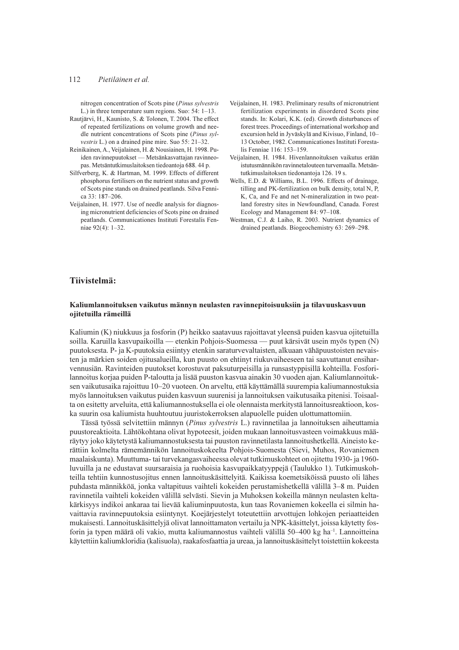#### 112 Pietiläinen et al.

nitrogen concentration of Scots pine (Pinus sylvestris L.) in three temperature sum regions. Suo:  $54: 1-13$ .

- Rautjärvi, H., Kaunisto, S. & Tolonen, T. 2004. The effect of repeated fertilizations on volume growth and needle nutrient concentrations of Scots pine (Pinus sylvestris L.) on a drained pine mire. Suo 55: 21-32.
- Reinikainen, A., Veijalainen, H. & Nousiainen, H. 1998. Puiden ravinnepuutokset - Metsänkasvattajan ravinneopas. Metsäntutkimuslaitoksen tiedoantoja 688. 44 p.
- Silfverberg, K. & Hartman, M. 1999. Effects of different phosphorus fertilisers on the nutrient status and growth of Scots pine stands on drained peatlands. Silva Fennica  $33:187-206$
- Veijalainen, H. 1977. Use of needle analysis for diagnosing micronutrient deficiencies of Scots pine on drained peatlands. Communicationes Instituti Forestalis Fenniae 92(4): 1-32.
- Veijalainen, H. 1983. Preliminary results of micronutrient fertilization experiments in disordered Scots pine stands. In: Kolari, K.K. (ed). Growth disturbances of forest trees. Proceedings of international workshop and excursion held in Jyväskylä and Kivisuo, Finland, 10-13 October, 1982. Communicationes Instituti Forestalis Fenniae 116: 153-159.
- Veijalainen, H. 1984. Hivenlannoituksen vaikutus erään istutusmännikön ravinnetalouteen turvemaalla. Metsäntutkimuslaitoksen tiedonantoja 126. 19 s.
- Wells, E.D. & Williams, B.L. 1996. Effects of drainage, tilling and PK-fertilization on bulk density, total N, P, K, Ca, and Fe and net N-mineralization in two peatland forestry sites in Newfoundland, Canada. Forest Ecology and Management 84: 97-108.
- Westman, C.J. & Laiho, R. 2003. Nutrient dynamics of drained peatlands. Biogeochemistry 63: 269-298.

## Tiivistelmä:

### Kaliumlannoituksen vaikutus männyn neulasten ravinnepitoisuuksiin ja tilavuuskasvuun ojitetuilla rämeillä

Kaliumin (K) niukkuus ja fosforin (P) heikko saatavuus rajoittavat yleensä puiden kasvua ojitetuilla soilla. Karuilla kasvupaikoilla — etenkin Pohjois-Suomessa — puut kärsivät usein myös typen (N) puutoksesta. P- ja K-puutoksia esiintyy etenkin saraturvevaltaisten, alkuaan vähäpuustoisten nevaisten ja märkien soiden ojitusalueilla, kun puusto on ehtinyt riukuvaiheeseen tai saavuttanut ensiharvennusiän. Ravinteiden puutokset korostuvat paksuturpeisilla ja runsastyppisillä kohteilla. Fosforilannoitus korjaa puiden P-taloutta ja lisää puuston kasvua ainakin 30 vuoden ajan. Kaliumlannoituksen vaikutusaika rajoittuu 10-20 vuoteen. On arveltu, että käyttämällä suurempia kaliumannostuksia myös lannoituksen vaikutus puiden kasvuun suurenisi ja lannoituksen vaikutusaika pitenisi. Toisaalta on esitetty arveluita, että kaliumannostuksella ei ole olennaista merkitystä lannoitusreaktioon, koska suurin osa kaljumista huuhtoutuu juuristokerroksen alapuolelle puiden ulottumattomiin.

Tässä työssä selvitettiin männyn (Pinus sylvestris L.) ravinnetilaa ja lannoituksen aiheuttamia puustoreaktioita. Lähtökohtana olivat hypoteesit, joiden mukaan lannoitusvasteen voimakkuus määräytyy joko käytetystä kaliumannostuksesta tai puuston ravinnetilasta lannoitushetkellä. Aineisto kerättiin kolmelta rämemännikön lannoituskokeelta Pohjois-Suomesta (Sievi, Muhos, Rovaniemen maalaiskunta). Muuttuma- tai turvekangasvaiheessa olevat tutkimuskohteet on ojitettu 1930- ja 1960luvuilla ja ne edustavat suursaraisia ja ruohoisia kasvupaikkatyyppejä (Taulukko 1). Tutkimuskohteilla tehtiin kunnostusojitus ennen lannoituskäsittelyitä. Kaikissa koemetsiköissä puusto oli lähes puhdasta männikköä, jonka valtapituus vaihteli kokeiden perustamishetkellä välillä 3–8 m. Puiden ravinnetila vaihteli kokeiden välillä selvästi. Sievin ja Muhoksen kokeilla männyn neulasten keltakärkisyys indikoi ankaraa tai lievää kaliuminpuutosta, kun taas Rovaniemen kokeella ei silmin havaittavia ravinnepuutoksia esiintynyt. Koejärjestelyt toteutettiin arvottujen lohkojen periaatteiden mukaisesti. Lannoituskäsittelyjä olivat lannoittamaton vertailu ja NPK-käsittelyt, joissa käytetty fosforin ja typen määrä oli vakio, mutta kaliumannostus vaihteli välillä 50–400 kg ha<sup>-1</sup>. Lannoitteina käytettiin kaliumkloridia (kalisuola), raakafosfaattia ja ureaa, ja lannoituskäsittelyt toistettiin kokeesta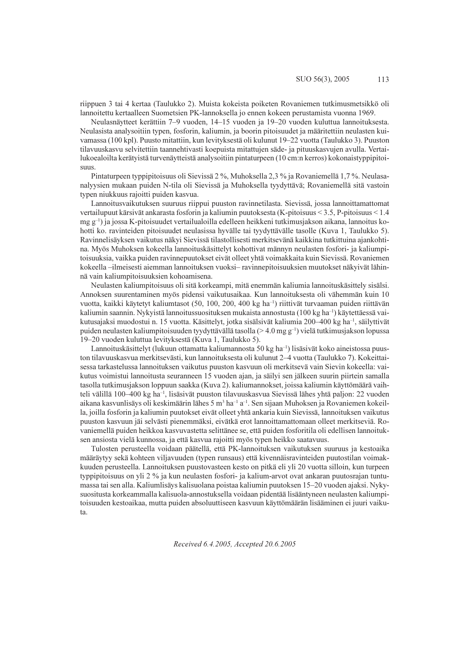riippuen 3 tai 4 kertaa (Taulukko 2). Muista kokeista poiketen Rovaniemen tutkimusmetsikkö oli lannoitettu kertaalleen Suometsien PK-lannoksella jo ennen kokeen perustamista vuonna 1969.

Neulasnäytteet kerättiin 7–9 vuoden, 14–15 vuoden ja 19–20 vuoden kuluttua lannoituksesta. Neulasista analysoitiin typen, fosforin, kaliumin, ja boorin pitoisuudet ja määritettiin neulasten kuivamassa (100 kpl). Puusto mitattiin, kun levityksestä oli kulunut 19–22 vuotta (Taulukko 3). Puuston tilavuuskasvu selvitettiin taannehtivasti koepuista mitattujen säde- ja pituuskasvujen avulla. Vertailukoealoilta kerätyistä turvenäytteistä analysoitiin pintaturpeen (10 cm:n kerros) kokonaistyppipitoisuus.

Pintaturpeen typpipitoisuus oli Sievissä 2%, Muhoksella 2,3% ja Rovaniemellä 1,7%. Neulasanalyysien mukaan puiden N-tila oli Sievissä ja Muhoksella tyydyttävä; Rovaniemellä sitä vastoin typen niukkuus rajoitti puiden kasvua.

Lannoitusvaikutuksen suuruus riippui puuston ravinnetilasta. Sievissä, jossa lannoittamattomat vertailupuut kärsivät ankarasta fosforin ja kaliumin puutoksesta (K-pitoisuus < 3.5, P-pitoisuus < 1.4 mg g<sup>-1</sup>) ja jossa K-pitoisuudet vertailualoilla edelleen heikkeni tutkimusjakson aikana, lannoitus kohotti ko. ravinteiden pitoisuudet neulasissa hyvälle tai tyydyttävälle tasolle (Kuva 1, Taulukko 5). Ravinnelisäyksen vaikutus näkyi Sievissä tilastollisesti merkitsevänä kaikkina tutkittuina ajankohtina. Myös Muhoksen kokeella lannoituskäsittelyt kohottivat männyn neulasten fosfori- ja kaliumpitoisuuksia, vaikka puiden ravinnepuutokset eivät olleet yhtä voimakkaita kuin Sievissä. Rovaniemen kokeella -ilmeisesti aiemman lannoituksen vuoksi- ravinnepitoisuuksien muutokset näkyivät lähinnä vain kaliumpitoisuuksien kohoamisena.

Neulasten kaliumpitoisuus oli sitä korkeampi, mitä enemmän kaliumia lannoituskäsittely sisälsi. Annoksen suurentaminen myös pidensi vaikutusaikaa. Kun lannoituksesta oli vähemmän kuin 10 vuotta, kaikki käytetyt kaliumtasot (50, 100, 200, 400 kg ha<sup>-1</sup>) riittivät turvaaman puiden riittävän kaliumin saannin. Nykyistä lannoitussuosituksen mukaista annostusta (100 kg ha<sup>-1</sup>) käytettäessä vaikutusajaksi muodostui n. 15 vuotta. Käsittelyt, jotka sisälsivät kaliumia 200–400 kg ha<sup>-1</sup>, säilyttivät puiden neulasten kaliumpitoisuuden tyydyttävällä tasolla (> 4.0 mg  $g^{-1}$ ) vielä tutkimusjakson lopussa 19–20 vuoden kuluttua levityksestä (Kuva 1, Taulukko 5).

Lannoituskäsittelyt (lukuun ottamatta kaliumannosta 50 kg ha<sup>-1</sup>) lisäsivät koko aineistossa puuston tilavuuskasvua merkitsevästi, kun lannoituksesta oli kulunut 2–4 vuotta (Taulukko 7). Kokeittaisessa tarkastelussa lannoituksen vaikutus puuston kasvuun oli merkitsevä vain Sievin kokeella: vaikutus voimistui lannoitusta seuranneen 15 vuoden ajan, ja säilyi sen jälkeen suurin piirtein samalla tasolla tutkimusjakson loppuun saakka (Kuva 2), kaliumannokset, joissa kaliumin käyttömäärä vaihteli välillä 100–400 kg ha<sup>-1</sup>, lisäsivät puuston tilavuuskasvua Sievissä lähes yhtä paljon: 22 vuoden aikana kasvunlisäys oli keskimäärin lähes 5 m<sup>3</sup> ha<sup>-1</sup> a<sup>-1</sup>. Sen sijaan Muhoksen ja Rovaniemen kokeilla, joilla fosforin ja kaliumin puutokset eivät olleet yhtä ankaria kuin Sievissä, lannoituksen vaikutus puuston kasvuun jäi selvästi pienemmäksi, eivätkä erot lannoittamattomaan olleet merkitseviä. Rovaniemellä puiden heikkoa kasvuvastetta selittänee se, että puiden fosforitila oli edellisen lannoituksen ansiosta vielä kunnossa, ja että kasvua rajoitti myös typen heikko saatavuus.

Tulosten perusteella voidaan päätellä, että PK-lannoituksen vaikutuksen suuruus ja kestoaika määräytyy sekä kohteen viljavuuden (typen runsaus) että kivennäisravinteiden puutostilan voimakkuuden perusteella. Lannoituksen puustovasteen kesto on pitkä eli yli 20 vuotta silloin, kun turpeen typpipitoisuus on yli 2 % ja kun neulasten fosfori- ja kalium-arvot ovat ankaran puutosrajan tuntumassa tai sen alla. Kaliumlisäys kalisuolana poistaa kaliumin puutoksen 15–20 vuoden ajaksi. Nykysuositusta korkeammalla kalisuola-annostuksella voidaan pidentää lisääntyneen neulasten kaliumpitoisuuden kestoaikaa, mutta puiden absoluuttiseen kasvuun käyttömäärän lisääminen ei juuri vaikuta.

Received 6.4.2005, Accepted 20.6.2005